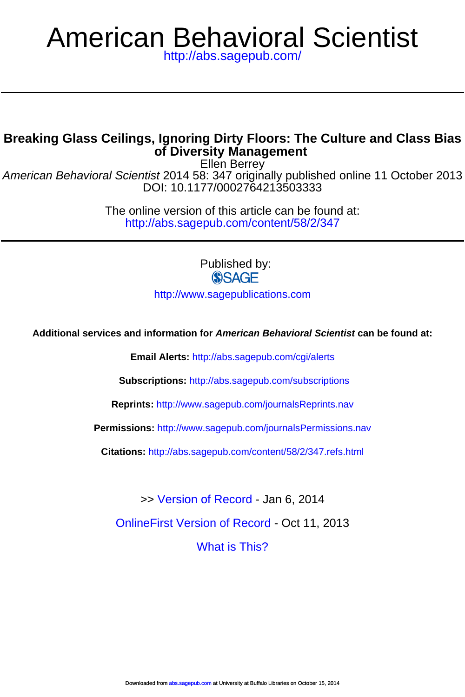# American Behavioral Scientist

<http://abs.sagepub.com/>

# **of Diversity Management Breaking Glass Ceilings, Ignoring Dirty Floors: The Culture and Class Bias**

DOI: 10.1177/0002764213503333 American Behavioral Scientist 2014 58: 347 originally published online 11 October 2013 Ellen Berrey

> <http://abs.sagepub.com/content/58/2/347> The online version of this article can be found at:

> > Published by: **SSAGE**

<http://www.sagepublications.com>

**Additional services and information for American Behavioral Scientist can be found at:**

**Email Alerts:** <http://abs.sagepub.com/cgi/alerts>

**Subscriptions:** <http://abs.sagepub.com/subscriptions>

**Reprints:** <http://www.sagepub.com/journalsReprints.nav>

**Permissions:** <http://www.sagepub.com/journalsPermissions.nav>

**Citations:** <http://abs.sagepub.com/content/58/2/347.refs.html>

[OnlineFirst Version of Record -](http://abs.sagepub.com/content/early/2013/10/11/0002764213503333.full.pdf) Oct 11, 2013 >> [Version of Record -](http://abs.sagepub.com/content/58/2/347.full.pdf) Jan 6, 2014

[What is This?](http://online.sagepub.com/site/sphelp/vorhelp.xhtml)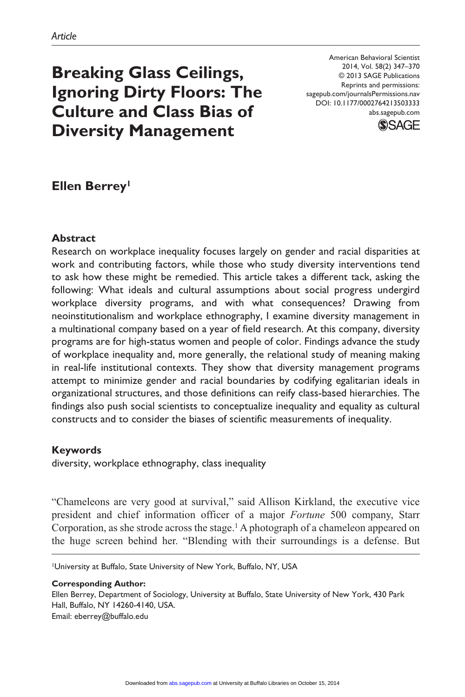# **Breaking Glass Ceilings, Ignoring Dirty Floors: The Culture and Class Bias of Diversity Management**

American Behavioral Scientist 2014, Vol. 58(2) 347–370 © 2013 SAGE Publications Reprints and permissions: sagepub.com/journalsPermissions.nav DOI: 10.1177/0002764213503333 abs.sagepub.com



# **Ellen Berrey1**

#### **Abstract**

Research on workplace inequality focuses largely on gender and racial disparities at work and contributing factors, while those who study diversity interventions tend to ask how these might be remedied. This article takes a different tack, asking the following: What ideals and cultural assumptions about social progress undergird workplace diversity programs, and with what consequences? Drawing from neoinstitutionalism and workplace ethnography, I examine diversity management in a multinational company based on a year of field research. At this company, diversity programs are for high-status women and people of color. Findings advance the study of workplace inequality and, more generally, the relational study of meaning making in real-life institutional contexts. They show that diversity management programs attempt to minimize gender and racial boundaries by codifying egalitarian ideals in organizational structures, and those definitions can reify class-based hierarchies. The findings also push social scientists to conceptualize inequality and equality as cultural constructs and to consider the biases of scientific measurements of inequality.

#### **Keywords**

diversity, workplace ethnography, class inequality

"Chameleons are very good at survival," said Allison Kirkland, the executive vice president and chief information officer of a major *Fortune* 500 company, Starr Corporation, as she strode across the stage.1 A photograph of a chameleon appeared on the huge screen behind her. "Blending with their surroundings is a defense. But

1University at Buffalo, State University of New York, Buffalo, NY, USA

#### **Corresponding Author:**

Ellen Berrey, Department of Sociology, University at Buffalo, State University of New York, 430 Park Hall, Buffalo, NY 14260-4140, USA. Email: [eberrey@buffalo.edu](mailto:eberrey@buffalo.edu)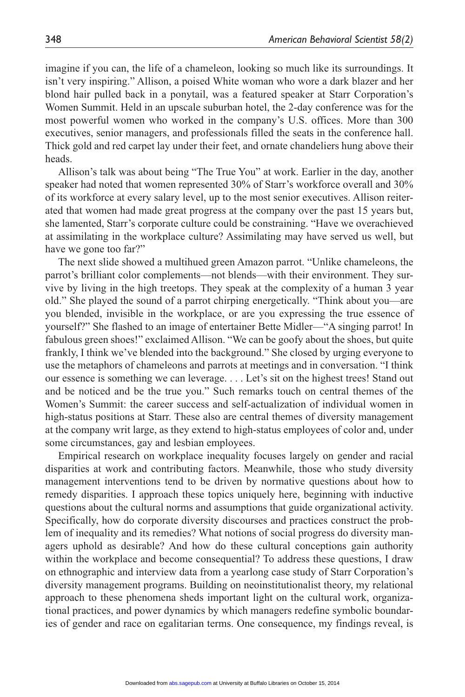imagine if you can, the life of a chameleon, looking so much like its surroundings. It isn't very inspiring." Allison, a poised White woman who wore a dark blazer and her blond hair pulled back in a ponytail, was a featured speaker at Starr Corporation's Women Summit. Held in an upscale suburban hotel, the 2-day conference was for the most powerful women who worked in the company's U.S. offices. More than 300 executives, senior managers, and professionals filled the seats in the conference hall. Thick gold and red carpet lay under their feet, and ornate chandeliers hung above their heads.

Allison's talk was about being "The True You" at work. Earlier in the day, another speaker had noted that women represented 30% of Starr's workforce overall and 30% of its workforce at every salary level, up to the most senior executives. Allison reiterated that women had made great progress at the company over the past 15 years but, she lamented, Starr's corporate culture could be constraining. "Have we overachieved at assimilating in the workplace culture? Assimilating may have served us well, but have we gone too far?"

The next slide showed a multihued green Amazon parrot. "Unlike chameleons, the parrot's brilliant color complements—not blends—with their environment. They survive by living in the high treetops. They speak at the complexity of a human 3 year old." She played the sound of a parrot chirping energetically. "Think about you—are you blended, invisible in the workplace, or are you expressing the true essence of yourself?" She flashed to an image of entertainer Bette Midler—"A singing parrot! In fabulous green shoes!" exclaimed Allison. "We can be goofy about the shoes, but quite frankly, I think we've blended into the background." She closed by urging everyone to use the metaphors of chameleons and parrots at meetings and in conversation. "I think our essence is something we can leverage. . . . Let's sit on the highest trees! Stand out and be noticed and be the true you." Such remarks touch on central themes of the Women's Summit: the career success and self-actualization of individual women in high-status positions at Starr. These also are central themes of diversity management at the company writ large, as they extend to high-status employees of color and, under some circumstances, gay and lesbian employees.

Empirical research on workplace inequality focuses largely on gender and racial disparities at work and contributing factors. Meanwhile, those who study diversity management interventions tend to be driven by normative questions about how to remedy disparities. I approach these topics uniquely here, beginning with inductive questions about the cultural norms and assumptions that guide organizational activity. Specifically, how do corporate diversity discourses and practices construct the problem of inequality and its remedies? What notions of social progress do diversity managers uphold as desirable? And how do these cultural conceptions gain authority within the workplace and become consequential? To address these questions, I draw on ethnographic and interview data from a yearlong case study of Starr Corporation's diversity management programs. Building on neoinstitutionalist theory, my relational approach to these phenomena sheds important light on the cultural work, organizational practices, and power dynamics by which managers redefine symbolic boundaries of gender and race on egalitarian terms. One consequence, my findings reveal, is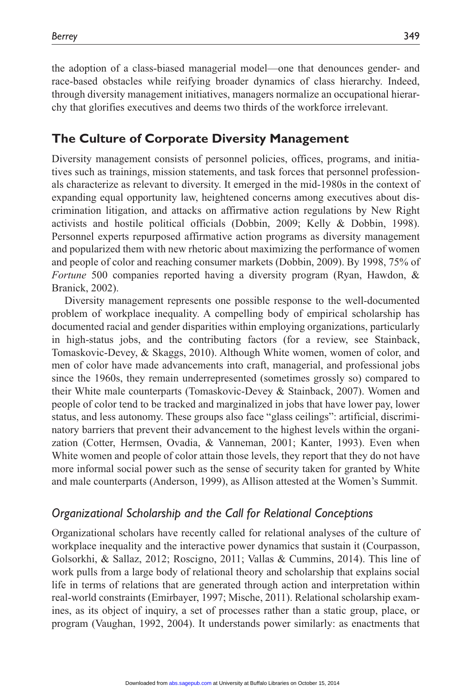the adoption of a class-biased managerial model—one that denounces gender- and race-based obstacles while reifying broader dynamics of class hierarchy. Indeed, through diversity management initiatives, managers normalize an occupational hierarchy that glorifies executives and deems two thirds of the workforce irrelevant.

# **The Culture of Corporate Diversity Management**

Diversity management consists of personnel policies, offices, programs, and initiatives such as trainings, mission statements, and task forces that personnel professionals characterize as relevant to diversity. It emerged in the mid-1980s in the context of expanding equal opportunity law, heightened concerns among executives about discrimination litigation, and attacks on affirmative action regulations by New Right activists and hostile political officials (Dobbin, 2009; Kelly & Dobbin, 1998). Personnel experts repurposed affirmative action programs as diversity management and popularized them with new rhetoric about maximizing the performance of women and people of color and reaching consumer markets (Dobbin, 2009). By 1998, 75% of *Fortune* 500 companies reported having a diversity program (Ryan, Hawdon, & Branick, 2002).

Diversity management represents one possible response to the well-documented problem of workplace inequality. A compelling body of empirical scholarship has documented racial and gender disparities within employing organizations, particularly in high-status jobs, and the contributing factors (for a review, see Stainback, Tomaskovic-Devey, & Skaggs, 2010). Although White women, women of color, and men of color have made advancements into craft, managerial, and professional jobs since the 1960s, they remain underrepresented (sometimes grossly so) compared to their White male counterparts (Tomaskovic-Devey & Stainback, 2007). Women and people of color tend to be tracked and marginalized in jobs that have lower pay, lower status, and less autonomy. These groups also face "glass ceilings": artificial, discriminatory barriers that prevent their advancement to the highest levels within the organization (Cotter, Hermsen, Ovadia, & Vanneman, 2001; Kanter, 1993). Even when White women and people of color attain those levels, they report that they do not have more informal social power such as the sense of security taken for granted by White and male counterparts (Anderson, 1999), as Allison attested at the Women's Summit.

## *Organizational Scholarship and the Call for Relational Conceptions*

Organizational scholars have recently called for relational analyses of the culture of workplace inequality and the interactive power dynamics that sustain it (Courpasson, Golsorkhi, & Sallaz, 2012; Roscigno, 2011; Vallas & Cummins, 2014). This line of work pulls from a large body of relational theory and scholarship that explains social life in terms of relations that are generated through action and interpretation within real-world constraints (Emirbayer, 1997; Mische, 2011). Relational scholarship examines, as its object of inquiry, a set of processes rather than a static group, place, or program (Vaughan, 1992, 2004). It understands power similarly: as enactments that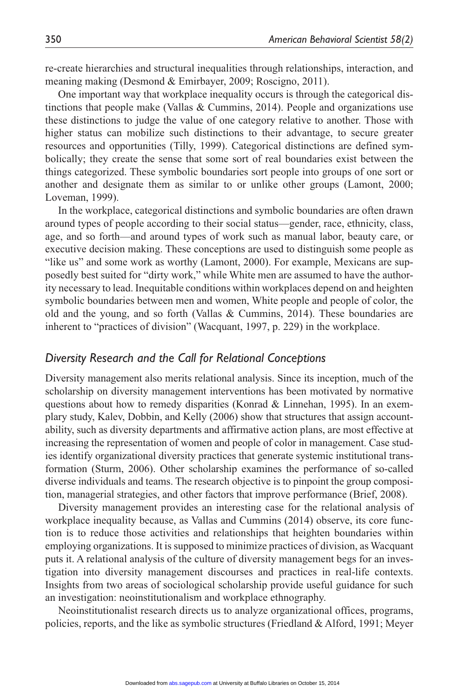re-create hierarchies and structural inequalities through relationships, interaction, and meaning making (Desmond & Emirbayer, 2009; Roscigno, 2011).

One important way that workplace inequality occurs is through the categorical distinctions that people make (Vallas  $&$  Cummins, 2014). People and organizations use these distinctions to judge the value of one category relative to another. Those with higher status can mobilize such distinctions to their advantage, to secure greater resources and opportunities (Tilly, 1999). Categorical distinctions are defined symbolically; they create the sense that some sort of real boundaries exist between the things categorized. These symbolic boundaries sort people into groups of one sort or another and designate them as similar to or unlike other groups (Lamont, 2000; Loveman, 1999).

In the workplace, categorical distinctions and symbolic boundaries are often drawn around types of people according to their social status—gender, race, ethnicity, class, age, and so forth—and around types of work such as manual labor, beauty care, or executive decision making. These conceptions are used to distinguish some people as "like us" and some work as worthy (Lamont, 2000). For example, Mexicans are supposedly best suited for "dirty work," while White men are assumed to have the authority necessary to lead. Inequitable conditions within workplaces depend on and heighten symbolic boundaries between men and women, White people and people of color, the old and the young, and so forth (Vallas & Cummins, 2014). These boundaries are inherent to "practices of division" (Wacquant, 1997, p. 229) in the workplace.

#### *Diversity Research and the Call for Relational Conceptions*

Diversity management also merits relational analysis. Since its inception, much of the scholarship on diversity management interventions has been motivated by normative questions about how to remedy disparities (Konrad  $&$  Linnehan, 1995). In an exemplary study, Kalev, Dobbin, and Kelly (2006) show that structures that assign accountability, such as diversity departments and affirmative action plans, are most effective at increasing the representation of women and people of color in management. Case studies identify organizational diversity practices that generate systemic institutional transformation (Sturm, 2006). Other scholarship examines the performance of so-called diverse individuals and teams. The research objective is to pinpoint the group composition, managerial strategies, and other factors that improve performance (Brief, 2008).

Diversity management provides an interesting case for the relational analysis of workplace inequality because, as Vallas and Cummins (2014) observe, its core function is to reduce those activities and relationships that heighten boundaries within employing organizations. It is supposed to minimize practices of division, as Wacquant puts it. A relational analysis of the culture of diversity management begs for an investigation into diversity management discourses and practices in real-life contexts. Insights from two areas of sociological scholarship provide useful guidance for such an investigation: neoinstitutionalism and workplace ethnography.

Neoinstitutionalist research directs us to analyze organizational offices, programs, policies, reports, and the like as symbolic structures (Friedland & Alford, 1991; Meyer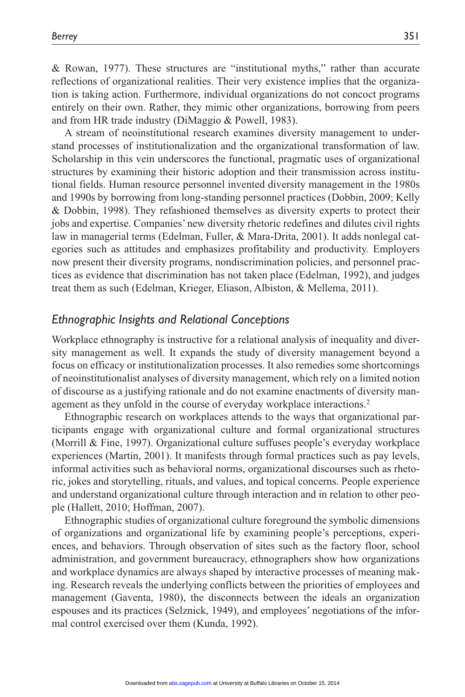& Rowan, 1977). These structures are "institutional myths," rather than accurate reflections of organizational realities. Their very existence implies that the organization is taking action. Furthermore, individual organizations do not concoct programs entirely on their own. Rather, they mimic other organizations, borrowing from peers and from HR trade industry (DiMaggio & Powell, 1983).

A stream of neoinstitutional research examines diversity management to understand processes of institutionalization and the organizational transformation of law. Scholarship in this vein underscores the functional, pragmatic uses of organizational structures by examining their historic adoption and their transmission across institutional fields. Human resource personnel invented diversity management in the 1980s and 1990s by borrowing from long-standing personnel practices (Dobbin, 2009; Kelly & Dobbin, 1998). They refashioned themselves as diversity experts to protect their jobs and expertise. Companies' new diversity rhetoric redefines and dilutes civil rights law in managerial terms (Edelman, Fuller, & Mara-Drita, 2001). It adds nonlegal categories such as attitudes and emphasizes profitability and productivity. Employers now present their diversity programs, nondiscrimination policies, and personnel practices as evidence that discrimination has not taken place (Edelman, 1992), and judges treat them as such (Edelman, Krieger, Eliason, Albiston, & Mellema, 2011).

#### *Ethnographic Insights and Relational Conceptions*

Workplace ethnography is instructive for a relational analysis of inequality and diversity management as well. It expands the study of diversity management beyond a focus on efficacy or institutionalization processes. It also remedies some shortcomings of neoinstitutionalist analyses of diversity management, which rely on a limited notion of discourse as a justifying rationale and do not examine enactments of diversity management as they unfold in the course of everyday workplace interactions.2

Ethnographic research on workplaces attends to the ways that organizational participants engage with organizational culture and formal organizational structures (Morrill & Fine, 1997). Organizational culture suffuses people's everyday workplace experiences (Martin, 2001). It manifests through formal practices such as pay levels, informal activities such as behavioral norms, organizational discourses such as rhetoric, jokes and storytelling, rituals, and values, and topical concerns. People experience and understand organizational culture through interaction and in relation to other people (Hallett, 2010; Hoffman, 2007).

Ethnographic studies of organizational culture foreground the symbolic dimensions of organizations and organizational life by examining people's perceptions, experiences, and behaviors. Through observation of sites such as the factory floor, school administration, and government bureaucracy, ethnographers show how organizations and workplace dynamics are always shaped by interactive processes of meaning making. Research reveals the underlying conflicts between the priorities of employees and management (Gaventa, 1980), the disconnects between the ideals an organization espouses and its practices (Selznick, 1949), and employees' negotiations of the informal control exercised over them (Kunda, 1992).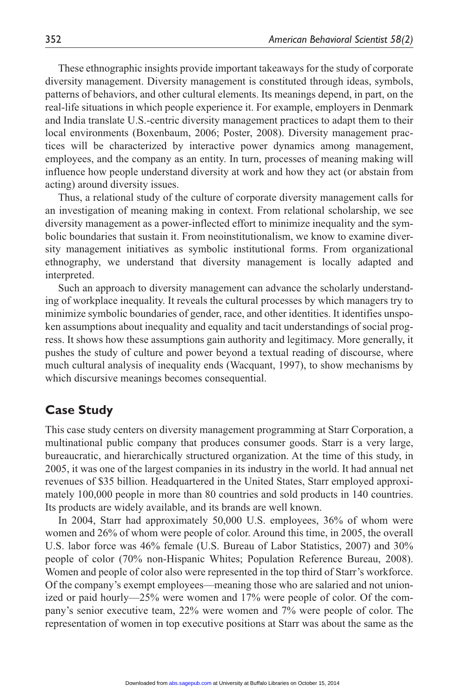These ethnographic insights provide important takeaways for the study of corporate diversity management. Diversity management is constituted through ideas, symbols, patterns of behaviors, and other cultural elements. Its meanings depend, in part, on the real-life situations in which people experience it. For example, employers in Denmark and India translate U.S.-centric diversity management practices to adapt them to their local environments (Boxenbaum, 2006; Poster, 2008). Diversity management practices will be characterized by interactive power dynamics among management, employees, and the company as an entity. In turn, processes of meaning making will influence how people understand diversity at work and how they act (or abstain from acting) around diversity issues.

Thus, a relational study of the culture of corporate diversity management calls for an investigation of meaning making in context. From relational scholarship, we see diversity management as a power-inflected effort to minimize inequality and the symbolic boundaries that sustain it. From neoinstitutionalism, we know to examine diversity management initiatives as symbolic institutional forms. From organizational ethnography, we understand that diversity management is locally adapted and interpreted.

Such an approach to diversity management can advance the scholarly understanding of workplace inequality. It reveals the cultural processes by which managers try to minimize symbolic boundaries of gender, race, and other identities. It identifies unspoken assumptions about inequality and equality and tacit understandings of social progress. It shows how these assumptions gain authority and legitimacy. More generally, it pushes the study of culture and power beyond a textual reading of discourse, where much cultural analysis of inequality ends (Wacquant, 1997), to show mechanisms by which discursive meanings becomes consequential.

#### **Case Study**

This case study centers on diversity management programming at Starr Corporation, a multinational public company that produces consumer goods. Starr is a very large, bureaucratic, and hierarchically structured organization. At the time of this study, in 2005, it was one of the largest companies in its industry in the world. It had annual net revenues of \$35 billion. Headquartered in the United States, Starr employed approximately 100,000 people in more than 80 countries and sold products in 140 countries. Its products are widely available, and its brands are well known.

In 2004, Starr had approximately 50,000 U.S. employees, 36% of whom were women and 26% of whom were people of color. Around this time, in 2005, the overall U.S. labor force was 46% female (U.S. Bureau of Labor Statistics, 2007) and 30% people of color (70% non-Hispanic Whites; Population Reference Bureau, 2008). Women and people of color also were represented in the top third of Starr's workforce. Of the company's exempt employees—meaning those who are salaried and not unionized or paid hourly—25% were women and 17% were people of color. Of the company's senior executive team, 22% were women and 7% were people of color. The representation of women in top executive positions at Starr was about the same as the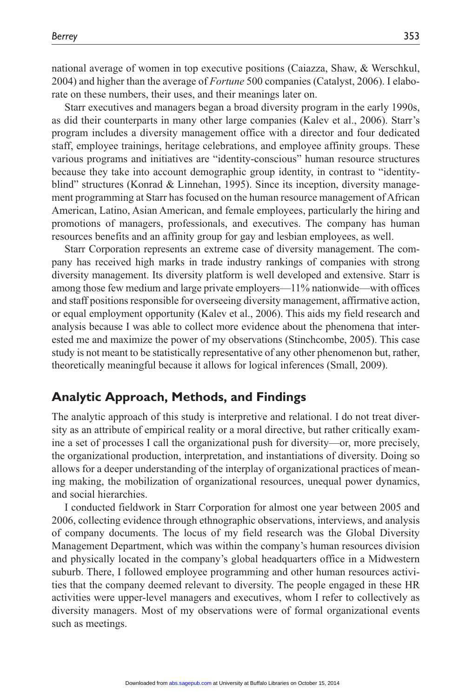national average of women in top executive positions (Caiazza, Shaw, & Werschkul, 2004) and higher than the average of *Fortune* 500 companies (Catalyst, 2006). I elaborate on these numbers, their uses, and their meanings later on.

Starr executives and managers began a broad diversity program in the early 1990s, as did their counterparts in many other large companies (Kalev et al., 2006). Starr's program includes a diversity management office with a director and four dedicated staff, employee trainings, heritage celebrations, and employee affinity groups. These various programs and initiatives are "identity-conscious" human resource structures because they take into account demographic group identity, in contrast to "identityblind" structures (Konrad & Linnehan, 1995). Since its inception, diversity management programming at Starr has focused on the human resource management of African American, Latino, Asian American, and female employees, particularly the hiring and promotions of managers, professionals, and executives. The company has human resources benefits and an affinity group for gay and lesbian employees, as well.

Starr Corporation represents an extreme case of diversity management. The company has received high marks in trade industry rankings of companies with strong diversity management. Its diversity platform is well developed and extensive. Starr is among those few medium and large private employers—11% nationwide—with offices and staff positions responsible for overseeing diversity management, affirmative action, or equal employment opportunity (Kalev et al., 2006). This aids my field research and analysis because I was able to collect more evidence about the phenomena that interested me and maximize the power of my observations (Stinchcombe, 2005). This case study is not meant to be statistically representative of any other phenomenon but, rather, theoretically meaningful because it allows for logical inferences (Small, 2009).

#### **Analytic Approach, Methods, and Findings**

The analytic approach of this study is interpretive and relational. I do not treat diversity as an attribute of empirical reality or a moral directive, but rather critically examine a set of processes I call the organizational push for diversity—or, more precisely, the organizational production, interpretation, and instantiations of diversity. Doing so allows for a deeper understanding of the interplay of organizational practices of meaning making, the mobilization of organizational resources, unequal power dynamics, and social hierarchies.

I conducted fieldwork in Starr Corporation for almost one year between 2005 and 2006, collecting evidence through ethnographic observations, interviews, and analysis of company documents. The locus of my field research was the Global Diversity Management Department, which was within the company's human resources division and physically located in the company's global headquarters office in a Midwestern suburb. There, I followed employee programming and other human resources activities that the company deemed relevant to diversity. The people engaged in these HR activities were upper-level managers and executives, whom I refer to collectively as diversity managers. Most of my observations were of formal organizational events such as meetings.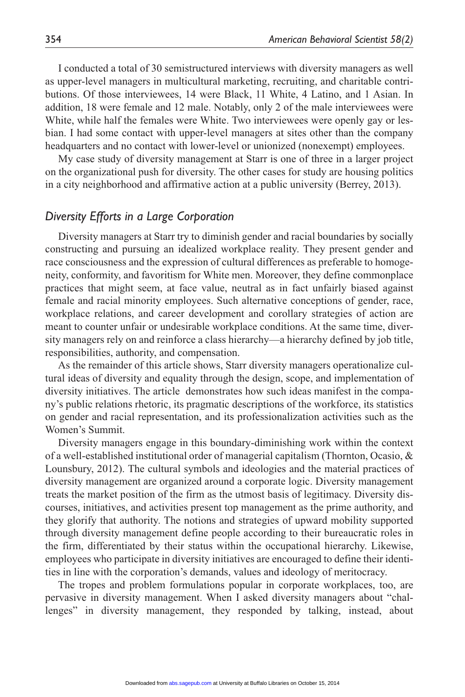I conducted a total of 30 semistructured interviews with diversity managers as well as upper-level managers in multicultural marketing, recruiting, and charitable contributions. Of those interviewees, 14 were Black, 11 White, 4 Latino, and 1 Asian. In addition, 18 were female and 12 male. Notably, only 2 of the male interviewees were White, while half the females were White. Two interviewees were openly gay or lesbian. I had some contact with upper-level managers at sites other than the company headquarters and no contact with lower-level or unionized (nonexempt) employees.

My case study of diversity management at Starr is one of three in a larger project on the organizational push for diversity. The other cases for study are housing politics in a city neighborhood and affirmative action at a public university (Berrey, 2013).

#### *Diversity Efforts in a Large Corporation*

Diversity managers at Starr try to diminish gender and racial boundaries by socially constructing and pursuing an idealized workplace reality. They present gender and race consciousness and the expression of cultural differences as preferable to homogeneity, conformity, and favoritism for White men. Moreover, they define commonplace practices that might seem, at face value, neutral as in fact unfairly biased against female and racial minority employees. Such alternative conceptions of gender, race, workplace relations, and career development and corollary strategies of action are meant to counter unfair or undesirable workplace conditions. At the same time, diversity managers rely on and reinforce a class hierarchy—a hierarchy defined by job title, responsibilities, authority, and compensation.

As the remainder of this article shows, Starr diversity managers operationalize cultural ideas of diversity and equality through the design, scope, and implementation of diversity initiatives. The article demonstrates how such ideas manifest in the company's public relations rhetoric, its pragmatic descriptions of the workforce, its statistics on gender and racial representation, and its professionalization activities such as the Women's Summit.

Diversity managers engage in this boundary-diminishing work within the context of a well-established institutional order of managerial capitalism (Thornton, Ocasio, & Lounsbury, 2012). The cultural symbols and ideologies and the material practices of diversity management are organized around a corporate logic. Diversity management treats the market position of the firm as the utmost basis of legitimacy. Diversity discourses, initiatives, and activities present top management as the prime authority, and they glorify that authority. The notions and strategies of upward mobility supported through diversity management define people according to their bureaucratic roles in the firm, differentiated by their status within the occupational hierarchy. Likewise, employees who participate in diversity initiatives are encouraged to define their identities in line with the corporation's demands, values and ideology of meritocracy.

The tropes and problem formulations popular in corporate workplaces, too, are pervasive in diversity management. When I asked diversity managers about "challenges" in diversity management, they responded by talking, instead, about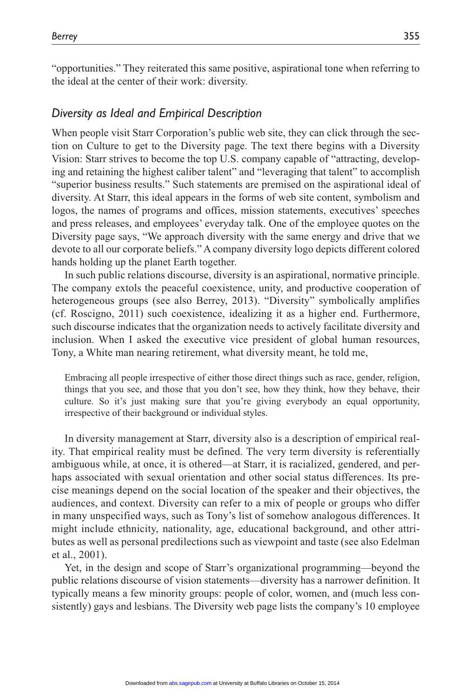"opportunities." They reiterated this same positive, aspirational tone when referring to the ideal at the center of their work: diversity.

#### *Diversity as Ideal and Empirical Description*

When people visit Starr Corporation's public web site, they can click through the section on Culture to get to the Diversity page. The text there begins with a Diversity Vision: Starr strives to become the top U.S. company capable of "attracting, developing and retaining the highest caliber talent" and "leveraging that talent" to accomplish "superior business results." Such statements are premised on the aspirational ideal of diversity. At Starr, this ideal appears in the forms of web site content, symbolism and logos, the names of programs and offices, mission statements, executives' speeches and press releases, and employees' everyday talk. One of the employee quotes on the Diversity page says, "We approach diversity with the same energy and drive that we devote to all our corporate beliefs." A company diversity logo depicts different colored hands holding up the planet Earth together.

In such public relations discourse, diversity is an aspirational, normative principle. The company extols the peaceful coexistence, unity, and productive cooperation of heterogeneous groups (see also Berrey, 2013). "Diversity" symbolically amplifies (cf. Roscigno, 2011) such coexistence, idealizing it as a higher end. Furthermore, such discourse indicates that the organization needs to actively facilitate diversity and inclusion. When I asked the executive vice president of global human resources, Tony, a White man nearing retirement, what diversity meant, he told me,

Embracing all people irrespective of either those direct things such as race, gender, religion, things that you see, and those that you don't see, how they think, how they behave, their culture. So it's just making sure that you're giving everybody an equal opportunity, irrespective of their background or individual styles.

In diversity management at Starr, diversity also is a description of empirical reality. That empirical reality must be defined. The very term diversity is referentially ambiguous while, at once, it is othered—at Starr, it is racialized, gendered, and perhaps associated with sexual orientation and other social status differences. Its precise meanings depend on the social location of the speaker and their objectives, the audiences, and context. Diversity can refer to a mix of people or groups who differ in many unspecified ways, such as Tony's list of somehow analogous differences. It might include ethnicity, nationality, age, educational background, and other attributes as well as personal predilections such as viewpoint and taste (see also Edelman et al., 2001).

Yet, in the design and scope of Starr's organizational programming—beyond the public relations discourse of vision statements—diversity has a narrower definition. It typically means a few minority groups: people of color, women, and (much less consistently) gays and lesbians. The Diversity web page lists the company's 10 employee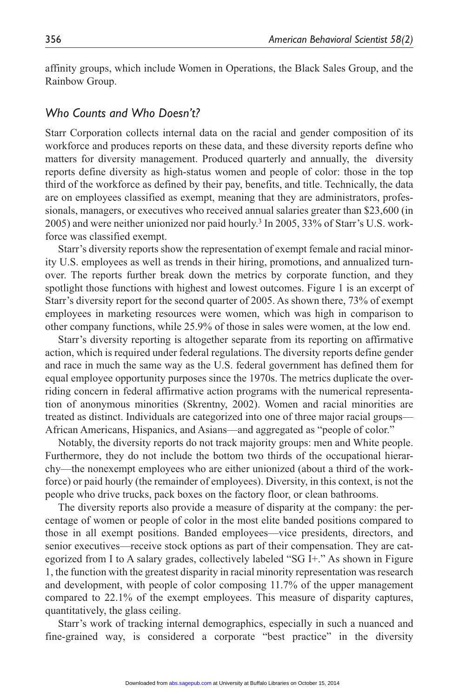affinity groups, which include Women in Operations, the Black Sales Group, and the Rainbow Group.

#### *Who Counts and Who Doesn't?*

Starr Corporation collects internal data on the racial and gender composition of its workforce and produces reports on these data, and these diversity reports define who matters for diversity management. Produced quarterly and annually, the diversity reports define diversity as high-status women and people of color: those in the top third of the workforce as defined by their pay, benefits, and title. Technically, the data are on employees classified as exempt, meaning that they are administrators, professionals, managers, or executives who received annual salaries greater than \$23,600 (in 2005) and were neither unionized nor paid hourly.3 In 2005, 33% of Starr's U.S. workforce was classified exempt.

Starr's diversity reports show the representation of exempt female and racial minority U.S. employees as well as trends in their hiring, promotions, and annualized turnover. The reports further break down the metrics by corporate function, and they spotlight those functions with highest and lowest outcomes. Figure 1 is an excerpt of Starr's diversity report for the second quarter of 2005. As shown there, 73% of exempt employees in marketing resources were women, which was high in comparison to other company functions, while 25.9% of those in sales were women, at the low end.

Starr's diversity reporting is altogether separate from its reporting on affirmative action, which is required under federal regulations. The diversity reports define gender and race in much the same way as the U.S. federal government has defined them for equal employee opportunity purposes since the 1970s. The metrics duplicate the overriding concern in federal affirmative action programs with the numerical representation of anonymous minorities (Skrentny, 2002). Women and racial minorities are treated as distinct. Individuals are categorized into one of three major racial groups— African Americans, Hispanics, and Asians—and aggregated as "people of color."

Notably, the diversity reports do not track majority groups: men and White people. Furthermore, they do not include the bottom two thirds of the occupational hierarchy—the nonexempt employees who are either unionized (about a third of the workforce) or paid hourly (the remainder of employees). Diversity, in this context, is not the people who drive trucks, pack boxes on the factory floor, or clean bathrooms.

The diversity reports also provide a measure of disparity at the company: the percentage of women or people of color in the most elite banded positions compared to those in all exempt positions. Banded employees—vice presidents, directors, and senior executives—receive stock options as part of their compensation. They are categorized from I to A salary grades, collectively labeled "SG I+." As shown in Figure 1, the function with the greatest disparity in racial minority representation was research and development, with people of color composing 11.7% of the upper management compared to 22.1% of the exempt employees. This measure of disparity captures, quantitatively, the glass ceiling.

Starr's work of tracking internal demographics, especially in such a nuanced and fine-grained way, is considered a corporate "best practice" in the diversity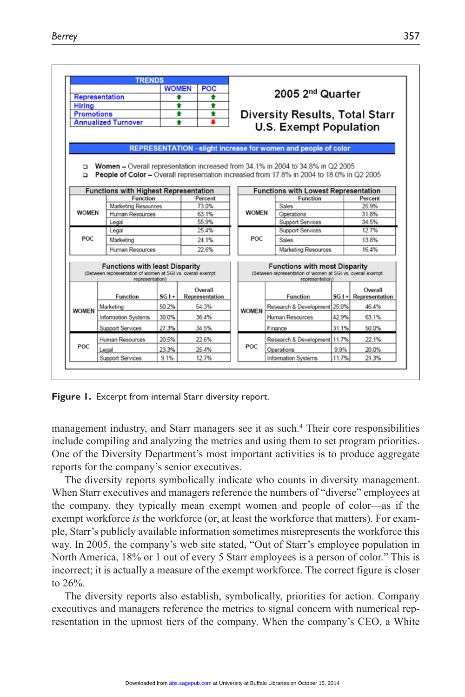| <b>Hiring</b><br><b>Promotions</b> | <b>TRENDS</b><br><b>Representation</b><br><b>Annualized Turnover</b>                                                   | <b>WOMEN</b>                           | <b>POC</b><br>٠<br>٠<br>٠<br>٠<br>٠<br>٠<br>٠ |              | 2005 2 <sup>nd</sup> Quarter<br><b>Diversity Results, Total Starr</b><br><b>U.S. Exempt Population</b>                                                                                                                      |       |                       |
|------------------------------------|------------------------------------------------------------------------------------------------------------------------|----------------------------------------|-----------------------------------------------|--------------|-----------------------------------------------------------------------------------------------------------------------------------------------------------------------------------------------------------------------------|-------|-----------------------|
|                                    |                                                                                                                        |                                        |                                               |              | <b>REPRESENTATION</b> -slight increase for women and people of color                                                                                                                                                        |       |                       |
| o<br>o.                            | <b>Functions with Highest Representation</b>                                                                           |                                        |                                               |              | Women - Overall representation increased from 34.1% in 2004 to 34.8% in Q2 2005<br>People of Color - Overall representation increased from 17.8% in 2004 to 18.0% in Q2 2005<br><b>Functions with Lowest Representation</b> |       |                       |
| Function                           |                                                                                                                        |                                        | Percent                                       |              | Function                                                                                                                                                                                                                    |       | Percent               |
|                                    |                                                                                                                        | Marketing Resources<br>Human Resources |                                               |              | Sales                                                                                                                                                                                                                       |       | 25.9%                 |
| <b>WOMEN</b>                       |                                                                                                                        |                                        |                                               | <b>WOMEN</b> | Operations                                                                                                                                                                                                                  |       | 31.8%                 |
|                                    | Legal                                                                                                                  |                                        |                                               |              | <b>Support Services</b>                                                                                                                                                                                                     |       | 34.5%                 |
|                                    | Legal                                                                                                                  | Marketing                              |                                               |              | Support Services                                                                                                                                                                                                            |       | 12.7%                 |
| POC.                               |                                                                                                                        |                                        |                                               | POC.         | Sales                                                                                                                                                                                                                       |       | 13.8%                 |
|                                    |                                                                                                                        | Human Resources                        |                                               |              | <b>Marketing Resources</b>                                                                                                                                                                                                  |       | 16.4%                 |
|                                    | <b>Functions with least Disparity</b><br>(Between representation of women at SGI vs. overall exempt<br>representation) |                                        | Overall                                       |              | <b>Functions with most Disparity</b><br>(Between representation of women at SGI vs. overall exempt<br>representation)                                                                                                       |       | Overall               |
| <b>WOMEN</b>                       | <b>Function</b>                                                                                                        | $SGI +$                                | Representation                                |              | Function                                                                                                                                                                                                                    |       | SG I + Representation |
|                                    | Marketing                                                                                                              | 50.2%                                  | 54.3%                                         |              | Research & Development 25.0%                                                                                                                                                                                                |       | 46.4%                 |
|                                    | <b>Information Systems</b>                                                                                             | 30.0%                                  | 36.4%                                         | <b>WOMEN</b> | <b>Human Resources</b>                                                                                                                                                                                                      | 42.9% | 63.1%                 |
|                                    | <b>Support Services</b>                                                                                                | 27.3%                                  | 34.5%                                         |              | Finance                                                                                                                                                                                                                     | 31.1% | 50.0%                 |
|                                    |                                                                                                                        | 20.5%                                  | 22.6%                                         |              | Research & Development 11.7%                                                                                                                                                                                                |       | 22.1%                 |
|                                    | Human Resources                                                                                                        |                                        |                                               | POC          |                                                                                                                                                                                                                             |       |                       |
| POC                                | Legal                                                                                                                  | 23.3%                                  | 25.4%                                         |              | Operations                                                                                                                                                                                                                  | 9.9%  | 20.0%                 |

**Figure 1.** Excerpt from internal Starr diversity report.

management industry, and Starr managers see it as such.4 Their core responsibilities include compiling and analyzing the metrics and using them to set program priorities. One of the Diversity Department's most important activities is to produce aggregate reports for the company's senior executives.

The diversity reports symbolically indicate who counts in diversity management. When Starr executives and managers reference the numbers of "diverse" employees at the company, they typically mean exempt women and people of color—as if the exempt workforce *is* the workforce (or, at least the workforce that matters). For example, Starr's publicly available information sometimes misrepresents the workforce this way. In 2005, the company's web site stated, "Out of Starr's employee population in North America, 18% or 1 out of every 5 Starr employees is a person of color." This is incorrect; it is actually a measure of the exempt workforce. The correct figure is closer to 26%.

The diversity reports also establish, symbolically, priorities for action. Company executives and managers reference the metrics to signal concern with numerical representation in the upmost tiers of the company. When the company's CEO, a White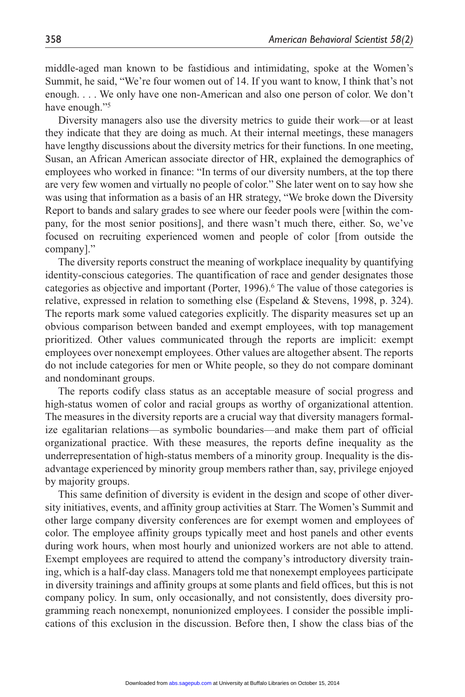middle-aged man known to be fastidious and intimidating, spoke at the Women's Summit, he said, "We're four women out of 14. If you want to know, I think that's not enough. . . . We only have one non-American and also one person of color. We don't have enough."<sup>5</sup>

Diversity managers also use the diversity metrics to guide their work—or at least they indicate that they are doing as much. At their internal meetings, these managers have lengthy discussions about the diversity metrics for their functions. In one meeting, Susan, an African American associate director of HR, explained the demographics of employees who worked in finance: "In terms of our diversity numbers, at the top there are very few women and virtually no people of color." She later went on to say how she was using that information as a basis of an HR strategy, "We broke down the Diversity Report to bands and salary grades to see where our feeder pools were [within the company, for the most senior positions], and there wasn't much there, either. So, we've focused on recruiting experienced women and people of color [from outside the company]."

The diversity reports construct the meaning of workplace inequality by quantifying identity-conscious categories. The quantification of race and gender designates those categories as objective and important (Porter, 1996).<sup>6</sup> The value of those categories is relative, expressed in relation to something else (Espeland & Stevens, 1998, p. 324). The reports mark some valued categories explicitly. The disparity measures set up an obvious comparison between banded and exempt employees, with top management prioritized. Other values communicated through the reports are implicit: exempt employees over nonexempt employees. Other values are altogether absent. The reports do not include categories for men or White people, so they do not compare dominant and nondominant groups.

The reports codify class status as an acceptable measure of social progress and high-status women of color and racial groups as worthy of organizational attention. The measures in the diversity reports are a crucial way that diversity managers formalize egalitarian relations—as symbolic boundaries—and make them part of official organizational practice. With these measures, the reports define inequality as the underrepresentation of high-status members of a minority group. Inequality is the disadvantage experienced by minority group members rather than, say, privilege enjoyed by majority groups.

This same definition of diversity is evident in the design and scope of other diversity initiatives, events, and affinity group activities at Starr. The Women's Summit and other large company diversity conferences are for exempt women and employees of color. The employee affinity groups typically meet and host panels and other events during work hours, when most hourly and unionized workers are not able to attend. Exempt employees are required to attend the company's introductory diversity training, which is a half-day class. Managers told me that nonexempt employees participate in diversity trainings and affinity groups at some plants and field offices, but this is not company policy. In sum, only occasionally, and not consistently, does diversity programming reach nonexempt, nonunionized employees. I consider the possible implications of this exclusion in the discussion. Before then, I show the class bias of the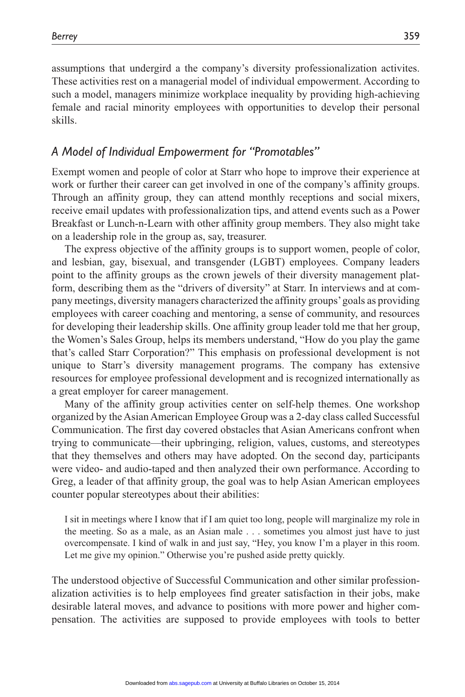assumptions that undergird a the company's diversity professionalization activites. These activities rest on a managerial model of individual empowerment. According to such a model, managers minimize workplace inequality by providing high-achieving female and racial minority employees with opportunities to develop their personal skills.

### *A Model of Individual Empowerment for "Promotables"*

Exempt women and people of color at Starr who hope to improve their experience at work or further their career can get involved in one of the company's affinity groups. Through an affinity group, they can attend monthly receptions and social mixers, receive email updates with professionalization tips, and attend events such as a Power Breakfast or Lunch-n-Learn with other affinity group members. They also might take on a leadership role in the group as, say, treasurer.

The express objective of the affinity groups is to support women, people of color, and lesbian, gay, bisexual, and transgender (LGBT) employees. Company leaders point to the affinity groups as the crown jewels of their diversity management platform, describing them as the "drivers of diversity" at Starr. In interviews and at company meetings, diversity managers characterized the affinity groups' goals as providing employees with career coaching and mentoring, a sense of community, and resources for developing their leadership skills. One affinity group leader told me that her group, the Women's Sales Group, helps its members understand, "How do you play the game that's called Starr Corporation?" This emphasis on professional development is not unique to Starr's diversity management programs. The company has extensive resources for employee professional development and is recognized internationally as a great employer for career management.

Many of the affinity group activities center on self-help themes. One workshop organized by the Asian American Employee Group was a 2-day class called Successful Communication. The first day covered obstacles that Asian Americans confront when trying to communicate—their upbringing, religion, values, customs, and stereotypes that they themselves and others may have adopted. On the second day, participants were video- and audio-taped and then analyzed their own performance. According to Greg, a leader of that affinity group, the goal was to help Asian American employees counter popular stereotypes about their abilities:

I sit in meetings where I know that if I am quiet too long, people will marginalize my role in the meeting. So as a male, as an Asian male . . . sometimes you almost just have to just overcompensate. I kind of walk in and just say, "Hey, you know I'm a player in this room. Let me give my opinion." Otherwise you're pushed aside pretty quickly.

The understood objective of Successful Communication and other similar professionalization activities is to help employees find greater satisfaction in their jobs, make desirable lateral moves, and advance to positions with more power and higher compensation. The activities are supposed to provide employees with tools to better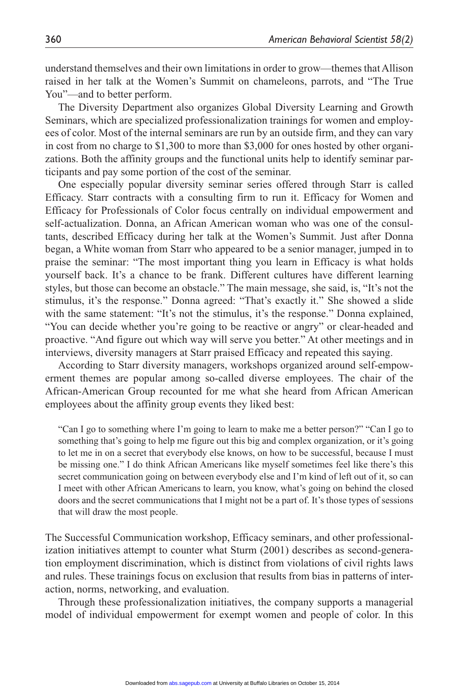understand themselves and their own limitations in order to grow—themes that Allison raised in her talk at the Women's Summit on chameleons, parrots, and "The True You"—and to better perform.

The Diversity Department also organizes Global Diversity Learning and Growth Seminars, which are specialized professionalization trainings for women and employees of color. Most of the internal seminars are run by an outside firm, and they can vary in cost from no charge to \$1,300 to more than \$3,000 for ones hosted by other organizations. Both the affinity groups and the functional units help to identify seminar participants and pay some portion of the cost of the seminar.

One especially popular diversity seminar series offered through Starr is called Efficacy. Starr contracts with a consulting firm to run it. Efficacy for Women and Efficacy for Professionals of Color focus centrally on individual empowerment and self-actualization. Donna, an African American woman who was one of the consultants, described Efficacy during her talk at the Women's Summit. Just after Donna began, a White woman from Starr who appeared to be a senior manager, jumped in to praise the seminar: "The most important thing you learn in Efficacy is what holds yourself back. It's a chance to be frank. Different cultures have different learning styles, but those can become an obstacle." The main message, she said, is, "It's not the stimulus, it's the response." Donna agreed: "That's exactly it." She showed a slide with the same statement: "It's not the stimulus, it's the response." Donna explained, "You can decide whether you're going to be reactive or angry" or clear-headed and proactive. "And figure out which way will serve you better." At other meetings and in interviews, diversity managers at Starr praised Efficacy and repeated this saying.

According to Starr diversity managers, workshops organized around self-empowerment themes are popular among so-called diverse employees. The chair of the African-American Group recounted for me what she heard from African American employees about the affinity group events they liked best:

"Can I go to something where I'm going to learn to make me a better person?" "Can I go to something that's going to help me figure out this big and complex organization, or it's going to let me in on a secret that everybody else knows, on how to be successful, because I must be missing one." I do think African Americans like myself sometimes feel like there's this secret communication going on between everybody else and I'm kind of left out of it, so can I meet with other African Americans to learn, you know, what's going on behind the closed doors and the secret communications that I might not be a part of. It's those types of sessions that will draw the most people.

The Successful Communication workshop, Efficacy seminars, and other professionalization initiatives attempt to counter what Sturm (2001) describes as second-generation employment discrimination, which is distinct from violations of civil rights laws and rules. These trainings focus on exclusion that results from bias in patterns of interaction, norms, networking, and evaluation.

Through these professionalization initiatives, the company supports a managerial model of individual empowerment for exempt women and people of color. In this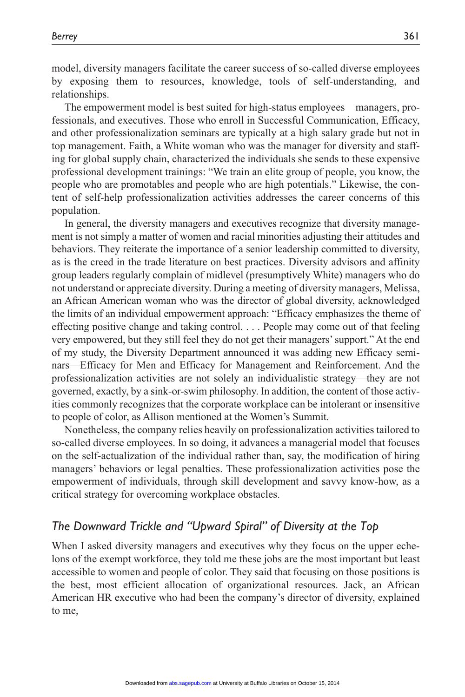model, diversity managers facilitate the career success of so-called diverse employees by exposing them to resources, knowledge, tools of self-understanding, and relationships.

The empowerment model is best suited for high-status employees—managers, professionals, and executives. Those who enroll in Successful Communication, Efficacy, and other professionalization seminars are typically at a high salary grade but not in top management. Faith, a White woman who was the manager for diversity and staffing for global supply chain, characterized the individuals she sends to these expensive professional development trainings: "We train an elite group of people, you know, the people who are promotables and people who are high potentials." Likewise, the content of self-help professionalization activities addresses the career concerns of this population.

In general, the diversity managers and executives recognize that diversity management is not simply a matter of women and racial minorities adjusting their attitudes and behaviors. They reiterate the importance of a senior leadership committed to diversity, as is the creed in the trade literature on best practices. Diversity advisors and affinity group leaders regularly complain of midlevel (presumptively White) managers who do not understand or appreciate diversity. During a meeting of diversity managers, Melissa, an African American woman who was the director of global diversity, acknowledged the limits of an individual empowerment approach: "Efficacy emphasizes the theme of effecting positive change and taking control. . . . People may come out of that feeling very empowered, but they still feel they do not get their managers' support." At the end of my study, the Diversity Department announced it was adding new Efficacy seminars—Efficacy for Men and Efficacy for Management and Reinforcement. And the professionalization activities are not solely an individualistic strategy—they are not governed, exactly, by a sink-or-swim philosophy. In addition, the content of those activities commonly recognizes that the corporate workplace can be intolerant or insensitive to people of color, as Allison mentioned at the Women's Summit.

Nonetheless, the company relies heavily on professionalization activities tailored to so-called diverse employees. In so doing, it advances a managerial model that focuses on the self-actualization of the individual rather than, say, the modification of hiring managers' behaviors or legal penalties. These professionalization activities pose the empowerment of individuals, through skill development and savvy know-how, as a critical strategy for overcoming workplace obstacles.

#### *The Downward Trickle and "Upward Spiral" of Diversity at the Top*

When I asked diversity managers and executives why they focus on the upper echelons of the exempt workforce, they told me these jobs are the most important but least accessible to women and people of color. They said that focusing on those positions is the best, most efficient allocation of organizational resources. Jack, an African American HR executive who had been the company's director of diversity, explained to me,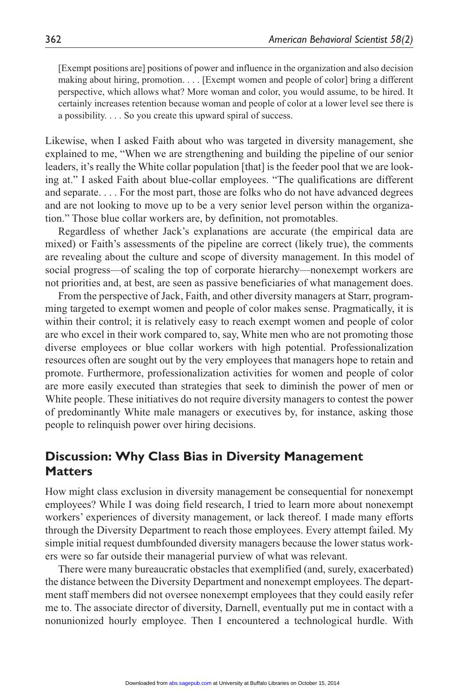[Exempt positions are] positions of power and influence in the organization and also decision making about hiring, promotion. . . . [Exempt women and people of color] bring a different perspective, which allows what? More woman and color, you would assume, to be hired. It certainly increases retention because woman and people of color at a lower level see there is a possibility. . . . So you create this upward spiral of success.

Likewise, when I asked Faith about who was targeted in diversity management, she explained to me, "When we are strengthening and building the pipeline of our senior leaders, it's really the White collar population [that] is the feeder pool that we are looking at." I asked Faith about blue-collar employees. "The qualifications are different and separate. . . . For the most part, those are folks who do not have advanced degrees and are not looking to move up to be a very senior level person within the organization." Those blue collar workers are, by definition, not promotables.

Regardless of whether Jack's explanations are accurate (the empirical data are mixed) or Faith's assessments of the pipeline are correct (likely true), the comments are revealing about the culture and scope of diversity management. In this model of social progress—of scaling the top of corporate hierarchy—nonexempt workers are not priorities and, at best, are seen as passive beneficiaries of what management does.

From the perspective of Jack, Faith, and other diversity managers at Starr, programming targeted to exempt women and people of color makes sense. Pragmatically, it is within their control; it is relatively easy to reach exempt women and people of color are who excel in their work compared to, say, White men who are not promoting those diverse employees or blue collar workers with high potential. Professionalization resources often are sought out by the very employees that managers hope to retain and promote. Furthermore, professionalization activities for women and people of color are more easily executed than strategies that seek to diminish the power of men or White people. These initiatives do not require diversity managers to contest the power of predominantly White male managers or executives by, for instance, asking those people to relinquish power over hiring decisions.

# **Discussion: Why Class Bias in Diversity Management Matters**

How might class exclusion in diversity management be consequential for nonexempt employees? While I was doing field research, I tried to learn more about nonexempt workers' experiences of diversity management, or lack thereof. I made many efforts through the Diversity Department to reach those employees. Every attempt failed. My simple initial request dumbfounded diversity managers because the lower status workers were so far outside their managerial purview of what was relevant.

There were many bureaucratic obstacles that exemplified (and, surely, exacerbated) the distance between the Diversity Department and nonexempt employees. The department staff members did not oversee nonexempt employees that they could easily refer me to. The associate director of diversity, Darnell, eventually put me in contact with a nonunionized hourly employee. Then I encountered a technological hurdle. With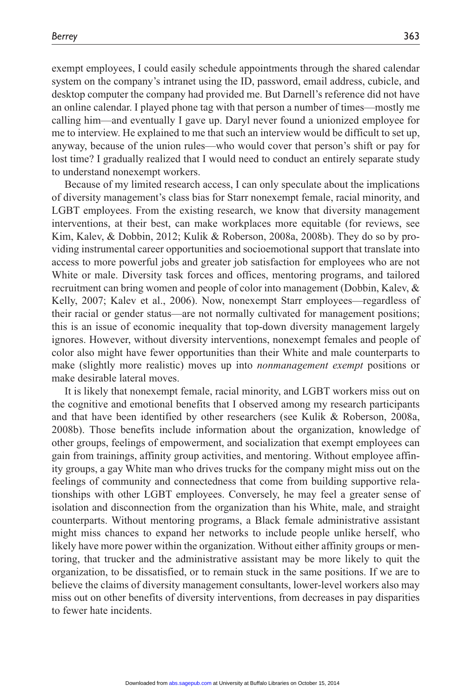exempt employees, I could easily schedule appointments through the shared calendar system on the company's intranet using the ID, password, email address, cubicle, and desktop computer the company had provided me. But Darnell's reference did not have an online calendar. I played phone tag with that person a number of times—mostly me calling him—and eventually I gave up. Daryl never found a unionized employee for me to interview. He explained to me that such an interview would be difficult to set up, anyway, because of the union rules—who would cover that person's shift or pay for lost time? I gradually realized that I would need to conduct an entirely separate study to understand nonexempt workers.

Because of my limited research access, I can only speculate about the implications of diversity management's class bias for Starr nonexempt female, racial minority, and LGBT employees. From the existing research, we know that diversity management interventions, at their best, can make workplaces more equitable (for reviews, see Kim, Kalev, & Dobbin, 2012; Kulik & Roberson, 2008a, 2008b). They do so by providing instrumental career opportunities and socioemotional support that translate into access to more powerful jobs and greater job satisfaction for employees who are not White or male. Diversity task forces and offices, mentoring programs, and tailored recruitment can bring women and people of color into management (Dobbin, Kalev, & Kelly, 2007; Kalev et al., 2006). Now, nonexempt Starr employees—regardless of their racial or gender status—are not normally cultivated for management positions; this is an issue of economic inequality that top-down diversity management largely ignores. However, without diversity interventions, nonexempt females and people of color also might have fewer opportunities than their White and male counterparts to make (slightly more realistic) moves up into *nonmanagement exempt* positions or make desirable lateral moves.

It is likely that nonexempt female, racial minority, and LGBT workers miss out on the cognitive and emotional benefits that I observed among my research participants and that have been identified by other researchers (see Kulik & Roberson, 2008a, 2008b). Those benefits include information about the organization, knowledge of other groups, feelings of empowerment, and socialization that exempt employees can gain from trainings, affinity group activities, and mentoring. Without employee affinity groups, a gay White man who drives trucks for the company might miss out on the feelings of community and connectedness that come from building supportive relationships with other LGBT employees. Conversely, he may feel a greater sense of isolation and disconnection from the organization than his White, male, and straight counterparts. Without mentoring programs, a Black female administrative assistant might miss chances to expand her networks to include people unlike herself, who likely have more power within the organization. Without either affinity groups or mentoring, that trucker and the administrative assistant may be more likely to quit the organization, to be dissatisfied, or to remain stuck in the same positions. If we are to believe the claims of diversity management consultants, lower-level workers also may miss out on other benefits of diversity interventions, from decreases in pay disparities to fewer hate incidents.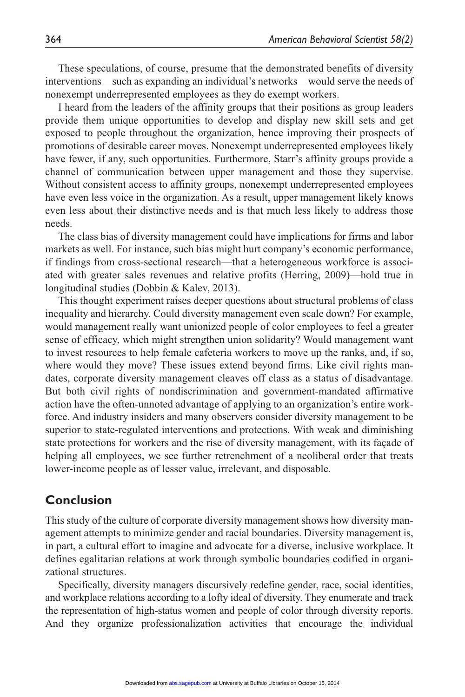These speculations, of course, presume that the demonstrated benefits of diversity interventions—such as expanding an individual's networks—would serve the needs of nonexempt underrepresented employees as they do exempt workers.

I heard from the leaders of the affinity groups that their positions as group leaders provide them unique opportunities to develop and display new skill sets and get exposed to people throughout the organization, hence improving their prospects of promotions of desirable career moves. Nonexempt underrepresented employees likely have fewer, if any, such opportunities. Furthermore, Starr's affinity groups provide a channel of communication between upper management and those they supervise. Without consistent access to affinity groups, nonexempt underrepresented employees have even less voice in the organization. As a result, upper management likely knows even less about their distinctive needs and is that much less likely to address those needs.

The class bias of diversity management could have implications for firms and labor markets as well. For instance, such bias might hurt company's economic performance, if findings from cross-sectional research—that a heterogeneous workforce is associated with greater sales revenues and relative profits (Herring, 2009)—hold true in longitudinal studies (Dobbin & Kalev, 2013).

This thought experiment raises deeper questions about structural problems of class inequality and hierarchy. Could diversity management even scale down? For example, would management really want unionized people of color employees to feel a greater sense of efficacy, which might strengthen union solidarity? Would management want to invest resources to help female cafeteria workers to move up the ranks, and, if so, where would they move? These issues extend beyond firms. Like civil rights mandates, corporate diversity management cleaves off class as a status of disadvantage. But both civil rights of nondiscrimination and government-mandated affirmative action have the often-unnoted advantage of applying to an organization's entire workforce. And industry insiders and many observers consider diversity management to be superior to state-regulated interventions and protections. With weak and diminishing state protections for workers and the rise of diversity management, with its façade of helping all employees, we see further retrenchment of a neoliberal order that treats lower-income people as of lesser value, irrelevant, and disposable.

#### **Conclusion**

This study of the culture of corporate diversity management shows how diversity management attempts to minimize gender and racial boundaries. Diversity management is, in part, a cultural effort to imagine and advocate for a diverse, inclusive workplace. It defines egalitarian relations at work through symbolic boundaries codified in organizational structures.

Specifically, diversity managers discursively redefine gender, race, social identities, and workplace relations according to a lofty ideal of diversity. They enumerate and track the representation of high-status women and people of color through diversity reports. And they organize professionalization activities that encourage the individual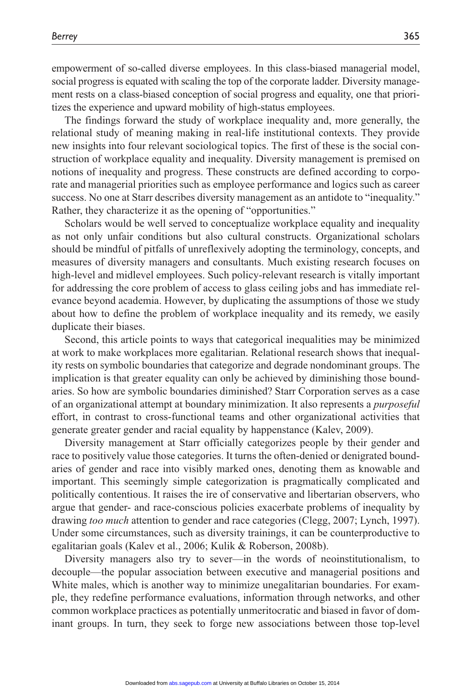empowerment of so-called diverse employees. In this class-biased managerial model, social progress is equated with scaling the top of the corporate ladder. Diversity management rests on a class-biased conception of social progress and equality, one that prioritizes the experience and upward mobility of high-status employees.

The findings forward the study of workplace inequality and, more generally, the relational study of meaning making in real-life institutional contexts. They provide new insights into four relevant sociological topics. The first of these is the social construction of workplace equality and inequality. Diversity management is premised on notions of inequality and progress. These constructs are defined according to corporate and managerial priorities such as employee performance and logics such as career success. No one at Starr describes diversity management as an antidote to "inequality." Rather, they characterize it as the opening of "opportunities."

Scholars would be well served to conceptualize workplace equality and inequality as not only unfair conditions but also cultural constructs. Organizational scholars should be mindful of pitfalls of unreflexively adopting the terminology, concepts, and measures of diversity managers and consultants. Much existing research focuses on high-level and midlevel employees. Such policy-relevant research is vitally important for addressing the core problem of access to glass ceiling jobs and has immediate relevance beyond academia. However, by duplicating the assumptions of those we study about how to define the problem of workplace inequality and its remedy, we easily duplicate their biases.

Second, this article points to ways that categorical inequalities may be minimized at work to make workplaces more egalitarian. Relational research shows that inequality rests on symbolic boundaries that categorize and degrade nondominant groups. The implication is that greater equality can only be achieved by diminishing those boundaries. So how are symbolic boundaries diminished? Starr Corporation serves as a case of an organizational attempt at boundary minimization. It also represents a *purposeful* effort, in contrast to cross-functional teams and other organizational activities that generate greater gender and racial equality by happenstance (Kalev, 2009).

Diversity management at Starr officially categorizes people by their gender and race to positively value those categories. It turns the often-denied or denigrated boundaries of gender and race into visibly marked ones, denoting them as knowable and important. This seemingly simple categorization is pragmatically complicated and politically contentious. It raises the ire of conservative and libertarian observers, who argue that gender- and race-conscious policies exacerbate problems of inequality by drawing *too much* attention to gender and race categories (Clegg, 2007; Lynch, 1997). Under some circumstances, such as diversity trainings, it can be counterproductive to egalitarian goals (Kalev et al., 2006; Kulik & Roberson, 2008b).

Diversity managers also try to sever—in the words of neoinstitutionalism, to decouple—the popular association between executive and managerial positions and White males, which is another way to minimize unegalitarian boundaries. For example, they redefine performance evaluations, information through networks, and other common workplace practices as potentially unmeritocratic and biased in favor of dominant groups. In turn, they seek to forge new associations between those top-level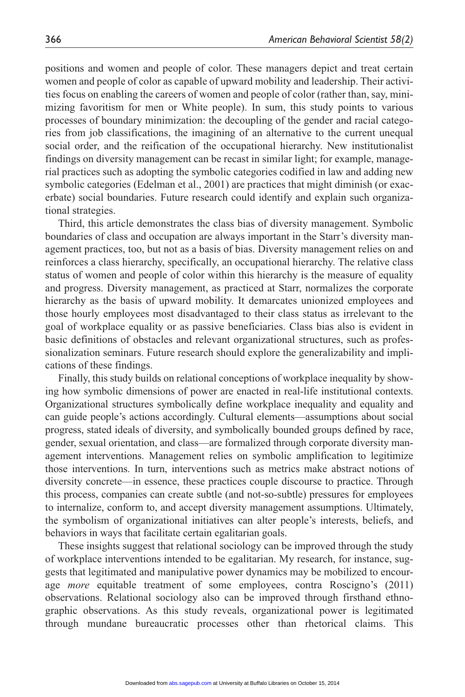positions and women and people of color. These managers depict and treat certain women and people of color as capable of upward mobility and leadership. Their activities focus on enabling the careers of women and people of color (rather than, say, minimizing favoritism for men or White people). In sum, this study points to various processes of boundary minimization: the decoupling of the gender and racial categories from job classifications, the imagining of an alternative to the current unequal social order, and the reification of the occupational hierarchy. New institutionalist findings on diversity management can be recast in similar light; for example, managerial practices such as adopting the symbolic categories codified in law and adding new symbolic categories (Edelman et al., 2001) are practices that might diminish (or exacerbate) social boundaries. Future research could identify and explain such organizational strategies.

Third, this article demonstrates the class bias of diversity management. Symbolic boundaries of class and occupation are always important in the Starr's diversity management practices, too, but not as a basis of bias. Diversity management relies on and reinforces a class hierarchy, specifically, an occupational hierarchy. The relative class status of women and people of color within this hierarchy is the measure of equality and progress. Diversity management, as practiced at Starr, normalizes the corporate hierarchy as the basis of upward mobility. It demarcates unionized employees and those hourly employees most disadvantaged to their class status as irrelevant to the goal of workplace equality or as passive beneficiaries. Class bias also is evident in basic definitions of obstacles and relevant organizational structures, such as professionalization seminars. Future research should explore the generalizability and implications of these findings.

Finally, this study builds on relational conceptions of workplace inequality by showing how symbolic dimensions of power are enacted in real-life institutional contexts. Organizational structures symbolically define workplace inequality and equality and can guide people's actions accordingly. Cultural elements—assumptions about social progress, stated ideals of diversity, and symbolically bounded groups defined by race, gender, sexual orientation, and class—are formalized through corporate diversity management interventions. Management relies on symbolic amplification to legitimize those interventions. In turn, interventions such as metrics make abstract notions of diversity concrete—in essence, these practices couple discourse to practice. Through this process, companies can create subtle (and not-so-subtle) pressures for employees to internalize, conform to, and accept diversity management assumptions. Ultimately, the symbolism of organizational initiatives can alter people's interests, beliefs, and behaviors in ways that facilitate certain egalitarian goals.

These insights suggest that relational sociology can be improved through the study of workplace interventions intended to be egalitarian. My research, for instance, suggests that legitimated and manipulative power dynamics may be mobilized to encourage *more* equitable treatment of some employees, contra Roscigno's (2011) observations. Relational sociology also can be improved through firsthand ethnographic observations. As this study reveals, organizational power is legitimated through mundane bureaucratic processes other than rhetorical claims. This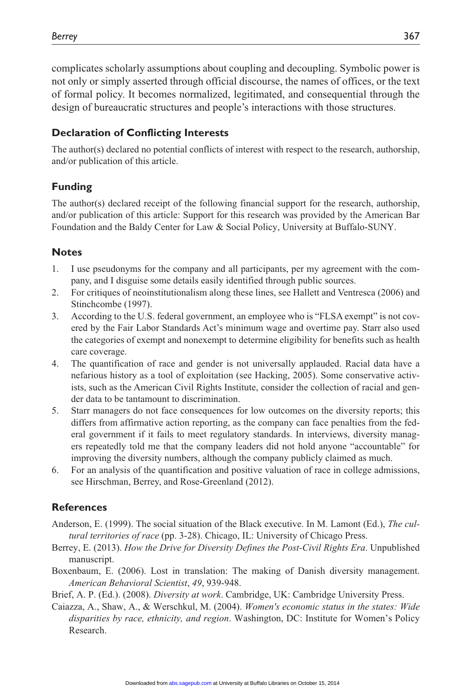complicates scholarly assumptions about coupling and decoupling. Symbolic power is not only or simply asserted through official discourse, the names of offices, or the text of formal policy. It becomes normalized, legitimated, and consequential through the design of bureaucratic structures and people's interactions with those structures.

#### **Declaration of Conflicting Interests**

The author(s) declared no potential conflicts of interest with respect to the research, authorship, and/or publication of this article.

#### **Funding**

The author(s) declared receipt of the following financial support for the research, authorship, and/or publication of this article: Support for this research was provided by the American Bar Foundation and the Baldy Center for Law & Social Policy, University at Buffalo-SUNY.

#### **Notes**

- 1. I use pseudonyms for the company and all participants, per my agreement with the company, and I disguise some details easily identified through public sources.
- 2. For critiques of neoinstitutionalism along these lines, see Hallett and Ventresca (2006) and Stinchcombe (1997).
- 3. According to the U.S. federal government, an employee who is "FLSA exempt" is not covered by the Fair Labor Standards Act's minimum wage and overtime pay. Starr also used the categories of exempt and nonexempt to determine eligibility for benefits such as health care coverage.
- 4. The quantification of race and gender is not universally applauded. Racial data have a nefarious history as a tool of exploitation (see Hacking, 2005). Some conservative activists, such as the American Civil Rights Institute, consider the collection of racial and gender data to be tantamount to discrimination.
- 5. Starr managers do not face consequences for low outcomes on the diversity reports; this differs from affirmative action reporting, as the company can face penalties from the federal government if it fails to meet regulatory standards. In interviews, diversity managers repeatedly told me that the company leaders did not hold anyone "accountable" for improving the diversity numbers, although the company publicly claimed as much.
- 6. For an analysis of the quantification and positive valuation of race in college admissions, see Hirschman, Berrey, and Rose-Greenland (2012).

#### **References**

- Anderson, E. (1999). The social situation of the Black executive. In M. Lamont (Ed.), *The cultural territories of race* (pp. 3-28). Chicago, IL: University of Chicago Press.
- Berrey, E. (2013). *How the Drive for Diversity Defines the Post-Civil Rights Era*. Unpublished manuscript.
- Boxenbaum, E. (2006). Lost in translation: The making of Danish diversity management. *American Behavioral Scientist*, *49*, 939-948.
- Brief, A. P. (Ed.). (2008). *Diversity at work*. Cambridge, UK: Cambridge University Press.
- Caiazza, A., Shaw, A., & Werschkul, M. (2004). *Women's economic status in the states: Wide disparities by race, ethnicity, and region*. Washington, DC: Institute for Women's Policy Research.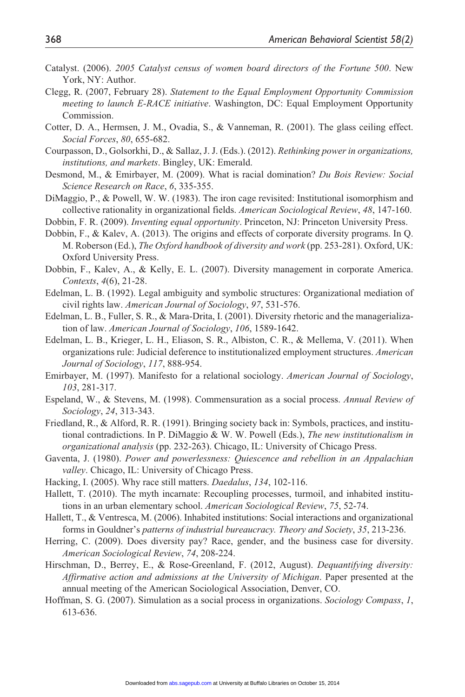- Catalyst. (2006). *2005 Catalyst census of women board directors of the Fortune 500*. New York, NY: Author.
- Clegg, R. (2007, February 28). *Statement to the Equal Employment Opportunity Commission meeting to launch E-RACE initiative*. Washington, DC: Equal Employment Opportunity Commission.
- Cotter, D. A., Hermsen, J. M., Ovadia, S., & Vanneman, R. (2001). The glass ceiling effect. *Social Forces*, *80*, 655-682.
- Courpasson, D., Golsorkhi, D., & Sallaz, J. J. (Eds.). (2012). *Rethinking power in organizations, institutions, and markets*. Bingley, UK: Emerald.
- Desmond, M., & Emirbayer, M. (2009). What is racial domination? *Du Bois Review: Social Science Research on Race*, *6*, 335-355.
- DiMaggio, P., & Powell, W. W. (1983). The iron cage revisited: Institutional isomorphism and collective rationality in organizational fields. *American Sociological Review*, *48*, 147-160.
- Dobbin, F. R. (2009). *Inventing equal opportunity*. Princeton, NJ: Princeton University Press.
- Dobbin, F., & Kalev, A. (2013). The origins and effects of corporate diversity programs. In Q. M. Roberson (Ed.), *The Oxford handbook of diversity and work* (pp. 253-281). Oxford, UK: Oxford University Press.
- Dobbin, F., Kalev, A., & Kelly, E. L. (2007). Diversity management in corporate America. *Contexts*, *4*(6), 21-28.
- Edelman, L. B. (1992). Legal ambiguity and symbolic structures: Organizational mediation of civil rights law. *American Journal of Sociology*, *97*, 531-576.
- Edelman, L. B., Fuller, S. R., & Mara-Drita, I. (2001). Diversity rhetoric and the managerialization of law. *American Journal of Sociology*, *106*, 1589-1642.
- Edelman, L. B., Krieger, L. H., Eliason, S. R., Albiston, C. R., & Mellema, V. (2011). When organizations rule: Judicial deference to institutionalized employment structures. *American Journal of Sociology*, *117*, 888-954.
- Emirbayer, M. (1997). Manifesto for a relational sociology. *American Journal of Sociology*, *103*, 281-317.
- Espeland, W., & Stevens, M. (1998). Commensuration as a social process. *Annual Review of Sociology*, *24*, 313-343.
- Friedland, R., & Alford, R. R. (1991). Bringing society back in: Symbols, practices, and institutional contradictions. In P. DiMaggio & W. W. Powell (Eds.), *The new institutionalism in organizational analysis* (pp. 232-263). Chicago, IL: University of Chicago Press.
- Gaventa, J. (1980). *Power and powerlessness: Quiescence and rebellion in an Appalachian valley*. Chicago, IL: University of Chicago Press.
- Hacking, I. (2005). Why race still matters. *Daedalus*, *134*, 102-116.
- Hallett, T. (2010). The myth incarnate: Recoupling processes, turmoil, and inhabited institutions in an urban elementary school. *American Sociological Review*, *75*, 52-74.
- Hallett, T., & Ventresca, M. (2006). Inhabited institutions: Social interactions and organizational forms in Gouldner's *patterns of industrial bureaucracy. Theory and Society*, *35*, 213-236.
- Herring, C. (2009). Does diversity pay? Race, gender, and the business case for diversity. *American Sociological Review*, *74*, 208-224.
- Hirschman, D., Berrey, E., & Rose-Greenland, F. (2012, August). *Dequantifying diversity: Affirmative action and admissions at the University of Michigan*. Paper presented at the annual meeting of the American Sociological Association, Denver, CO.
- Hoffman, S. G. (2007). Simulation as a social process in organizations. *Sociology Compass*, *1*, 613-636.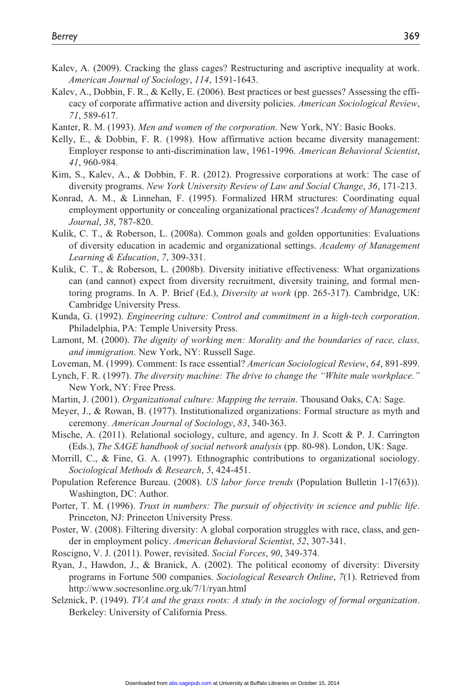- Kalev, A. (2009). Cracking the glass cages? Restructuring and ascriptive inequality at work. *American Journal of Sociology*, *114*, 1591-1643.
- Kalev, A., Dobbin, F. R., & Kelly, E. (2006). Best practices or best guesses? Assessing the efficacy of corporate affirmative action and diversity policies. *American Sociological Review*, *71*, 589-617.
- Kanter, R. M. (1993). *Men and women of the corporation*. New York, NY: Basic Books.
- Kelly, E., & Dobbin, F. R. (1998). How affirmative action became diversity management: Employer response to anti-discrimination law, 1961-1996. *American Behavioral Scientist*, *41*, 960-984.
- Kim, S., Kalev, A., & Dobbin, F. R. (2012). Progressive corporations at work: The case of diversity programs. *New York University Review of Law and Social Change*, *36*, 171-213.
- Konrad, A. M., & Linnehan, F. (1995). Formalized HRM structures: Coordinating equal employment opportunity or concealing organizational practices? *Academy of Management Journal*, *38*, 787-820.
- Kulik, C. T., & Roberson, L. (2008a). Common goals and golden opportunities: Evaluations of diversity education in academic and organizational settings. *Academy of Management Learning & Education*, *7*, 309-331.
- Kulik, C. T., & Roberson, L. (2008b). Diversity initiative effectiveness: What organizations can (and cannot) expect from diversity recruitment, diversity training, and formal mentoring programs. In A. P. Brief (Ed.), *Diversity at work* (pp. 265-317). Cambridge, UK: Cambridge University Press.
- Kunda, G. (1992). *Engineering culture: Control and commitment in a high-tech corporation*. Philadelphia, PA: Temple University Press.
- Lamont, M. (2000). *The dignity of working men: Morality and the boundaries of race, class, and immigration*. New York, NY: Russell Sage.
- Loveman, M. (1999). Comment: Is race essential? *American Sociological Review*, *64*, 891-899.
- Lynch, F. R. (1997). *The diversity machine: The drive to change the "White male workplace."* New York, NY: Free Press.
- Martin, J. (2001). *Organizational culture: Mapping the terrain*. Thousand Oaks, CA: Sage.
- Meyer, J., & Rowan, B. (1977). Institutionalized organizations: Formal structure as myth and ceremony. *American Journal of Sociology*, *83*, 340-363.
- Mische, A. (2011). Relational sociology, culture, and agency. In J. Scott & P. J. Carrington (Eds.), *The SAGE handbook of social network analysis* (pp. 80-98). London, UK: Sage.
- Morrill, C., & Fine, G. A. (1997). Ethnographic contributions to organizational sociology. *Sociological Methods & Research*, *5*, 424-451.
- Population Reference Bureau. (2008). *US labor force trends* (Population Bulletin 1-17(63)). Washington, DC: Author.
- Porter, T. M. (1996). *Trust in numbers: The pursuit of objectivity in science and public life*. Princeton, NJ: Princeton University Press.
- Poster, W. (2008). Filtering diversity: A global corporation struggles with race, class, and gender in employment policy. *American Behavioral Scientist*, *52*, 307-341.
- Roscigno, V. J. (2011). Power, revisited. *Social Forces*, *90*, 349-374.
- Ryan, J., Hawdon, J., & Branick, A. (2002). The political economy of diversity: Diversity programs in Fortune 500 companies. *Sociological Research Online*, *7*(1). Retrieved from <http://www.socresonline.org.uk/7/1/ryan.html>
- Selznick, P. (1949). *TVA and the grass roots: A study in the sociology of formal organization*. Berkeley: University of California Press.